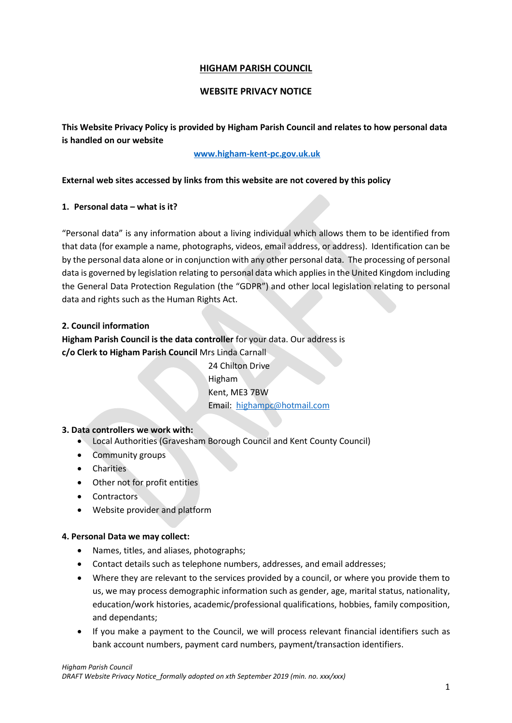# **HIGHAM PARISH COUNCIL**

## **WEBSITE PRIVACY NOTICE**

**This Website Privacy Policy is provided by Higham Parish Council and relates to how personal data is handled on our website**

## **[www.higham-kent-pc.gov.uk.uk](http://www.higham-kent-pc.gov.uk.uk/)**

## **External web sites accessed by links from this website are not covered by this policy**

## **1. Personal data – what is it?**

"Personal data" is any information about a living individual which allows them to be identified from that data (for example a name, photographs, videos, email address, or address). Identification can be by the personal data alone or in conjunction with any other personal data. The processing of personal data is governed by legislation relating to personal data which applies in the United Kingdom including the General Data Protection Regulation (the "GDPR") and other local legislation relating to personal data and rights such as the Human Rights Act.

## **2. Council information**

# **Higham Parish Council is the data controller** for your data. Our address is **c/o Clerk to Higham Parish Council** Mrs Linda Carnall

24 Chilton Drive Higham Kent, ME3 7BW Email: [highampc@hotmail.com](mailto:highampc@hotmail.com)

### **3. Data controllers we work with:**

- Local Authorities (Gravesham Borough Council and Kent County Council)
- Community groups
- Charities
- Other not for profit entities
- Contractors
- Website provider and platform

### **4. Personal Data we may collect:**

- Names, titles, and aliases, photographs;
- Contact details such as telephone numbers, addresses, and email addresses;
- Where they are relevant to the services provided by a council, or where you provide them to us, we may process demographic information such as gender, age, marital status, nationality, education/work histories, academic/professional qualifications, hobbies, family composition, and dependants;
- If you make a payment to the Council, we will process relevant financial identifiers such as bank account numbers, payment card numbers, payment/transaction identifiers.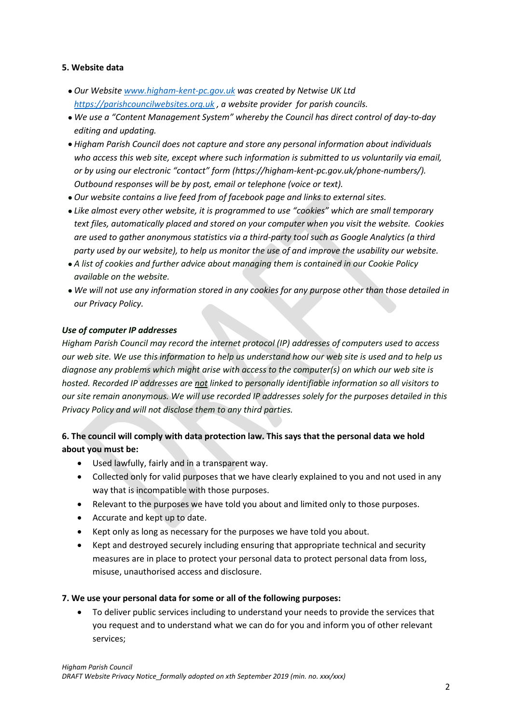## **5. Website data**

- *Our Website [www.higham-kent-pc.gov.uk](http://www.higham-kent-pc.gov.uk/) was created by Netwise UK Ltd [https://parishcouncilwebsites.org.uk](https://parishcouncilwebsites.org.uk/) , a website provider for parish councils.*
- *We use a "Content Management System" whereby the Council has direct control of day-to-day editing and updating.*
- *Higham Parish Council does not capture and store any personal information about individuals*  who access this web site, except where such information is submitted to us voluntarily via email, *or by using our electronic "contact" form (https://higham-kent-pc.gov.uk/phone-numbers/). Outbound responses will be by post, email or telephone (voice or text).*
- *Our website contains a live feed from of facebook page and links to external sites.*
- *Like almost every other website, it is programmed to use "cookies" which are small temporary text files, automatically placed and stored on your computer when you visit the website. Cookies are used to gather anonymous statistics via a third-party tool such as Google Analytics (a third party used by our website), to help us monitor the use of and improve the usability our website.*
- *A list of cookies and further advice about managing them is contained in our Cookie Policy available on the website.*
- *We will not use any information stored in any cookies for any purpose other than those detailed in our Privacy Policy.*

# *Use of computer IP addresses*

*Higham Parish Council may record the internet protocol (IP) addresses of computers used to access our web site. We use this information to help us understand how our web site is used and to help us diagnose any problems which might arise with access to the computer(s) on which our web site is hosted. Recorded IP addresses are not linked to personally identifiable information so all visitors to our site remain anonymous. We will use recorded IP addresses solely for the purposes detailed in this Privacy Policy and will not disclose them to any third parties.*

# **6. The council will comply with data protection law. This says that the personal data we hold about you must be:**

- Used lawfully, fairly and in a transparent way.
- Collected only for valid purposes that we have clearly explained to you and not used in any way that is incompatible with those purposes.
- Relevant to the purposes we have told you about and limited only to those purposes.
- Accurate and kept up to date.
- Kept only as long as necessary for the purposes we have told you about.
- Kept and destroyed securely including ensuring that appropriate technical and security measures are in place to protect your personal data to protect personal data from loss, misuse, unauthorised access and disclosure.

# **7. We use your personal data for some or all of the following purposes:**

• To deliver public services including to understand your needs to provide the services that you request and to understand what we can do for you and inform you of other relevant services;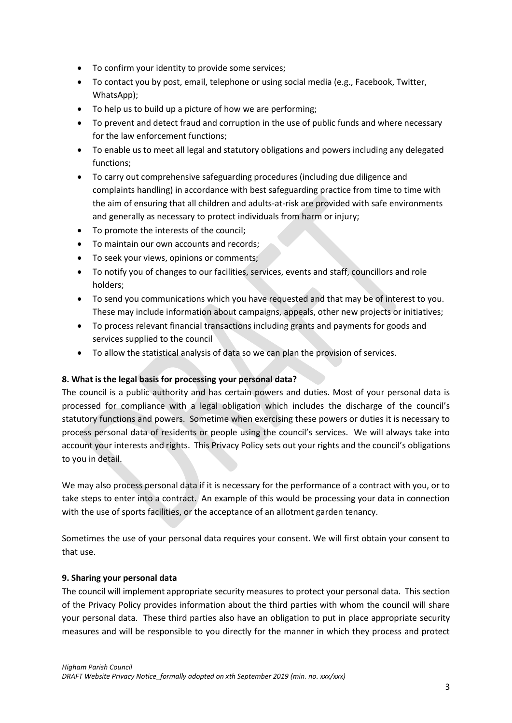- To confirm your identity to provide some services;
- To contact you by post, email, telephone or using social media (e.g., Facebook, Twitter, WhatsApp);
- To help us to build up a picture of how we are performing;
- To prevent and detect fraud and corruption in the use of public funds and where necessary for the law enforcement functions;
- To enable us to meet all legal and statutory obligations and powers including any delegated functions;
- To carry out comprehensive safeguarding procedures (including due diligence and complaints handling) in accordance with best safeguarding practice from time to time with the aim of ensuring that all children and adults-at-risk are provided with safe environments and generally as necessary to protect individuals from harm or injury;
- To promote the interests of the council;
- To maintain our own accounts and records;
- To seek your views, opinions or comments;
- To notify you of changes to our facilities, services, events and staff, councillors and role holders;
- To send you communications which you have requested and that may be of interest to you. These may include information about campaigns, appeals, other new projects or initiatives;
- To process relevant financial transactions including grants and payments for goods and services supplied to the council
- To allow the statistical analysis of data so we can plan the provision of services.

# **8. What is the legal basis for processing your personal data?**

The council is a public authority and has certain powers and duties. Most of your personal data is processed for compliance with a legal obligation which includes the discharge of the council's statutory functions and powers. Sometime when exercising these powers or duties it is necessary to process personal data of residents or people using the council's services. We will always take into account your interests and rights. This Privacy Policy sets out your rights and the council's obligations to you in detail.

We may also process personal data if it is necessary for the performance of a contract with you, or to take steps to enter into a contract. An example of this would be processing your data in connection with the use of sports facilities, or the acceptance of an allotment garden tenancy.

Sometimes the use of your personal data requires your consent. We will first obtain your consent to that use.

# **9. Sharing your personal data**

The council will implement appropriate security measures to protect your personal data. This section of the Privacy Policy provides information about the third parties with whom the council will share your personal data. These third parties also have an obligation to put in place appropriate security measures and will be responsible to you directly for the manner in which they process and protect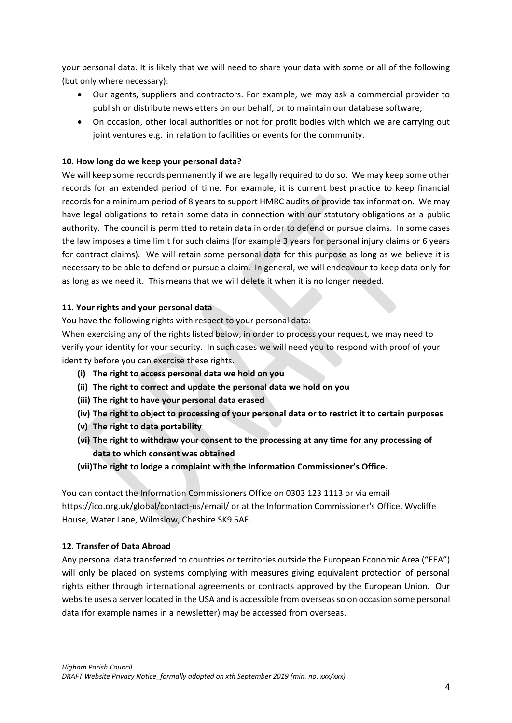your personal data. It is likely that we will need to share your data with some or all of the following (but only where necessary):

- Our agents, suppliers and contractors. For example, we may ask a commercial provider to publish or distribute newsletters on our behalf, or to maintain our database software;
- On occasion, other local authorities or not for profit bodies with which we are carrying out joint ventures e.g. in relation to facilities or events for the community.

# **10. How long do we keep your personal data?**

We will keep some records permanently if we are legally required to do so. We may keep some other records for an extended period of time. For example, it is current best practice to keep financial records for a minimum period of 8 years to support HMRC audits or provide tax information. We may have legal obligations to retain some data in connection with our statutory obligations as a public authority. The council is permitted to retain data in order to defend or pursue claims. In some cases the law imposes a time limit for such claims (for example 3 years for personal injury claims or 6 years for contract claims). We will retain some personal data for this purpose as long as we believe it is necessary to be able to defend or pursue a claim. In general, we will endeavour to keep data only for as long as we need it. This means that we will delete it when it is no longer needed.

## **11. Your rights and your personal data**

You have the following rights with respect to your personal data:

When exercising any of the rights listed below, in order to process your request, we may need to verify your identity for your security. In such cases we will need you to respond with proof of your identity before you can exercise these rights.

- **(i) The right to access personal data we hold on you**
- **(ii) The right to correct and update the personal data we hold on you**
- **(iii) The right to have your personal data erased**
- **(iv) The right to object to processing of your personal data or to restrict it to certain purposes**
- **(v) The right to data portability**
- **(vi) The right to withdraw your consent to the processing at any time for any processing of data to which consent was obtained**
- **(vii)The right to lodge a complaint with the Information Commissioner's Office.**

You can contact the Information Commissioners Office on 0303 123 1113 or via email https://ico.org.uk/global/contact-us/email/ or at the Information Commissioner's Office, Wycliffe House, Water Lane, Wilmslow, Cheshire SK9 5AF.

### **12. Transfer of Data Abroad**

Any personal data transferred to countries or territories outside the European Economic Area ("EEA") will only be placed on systems complying with measures giving equivalent protection of personal rights either through international agreements or contracts approved by the European Union. Our website uses a server located in the USA and is accessible from overseas so on occasion some personal data (for example names in a newsletter) may be accessed from overseas.